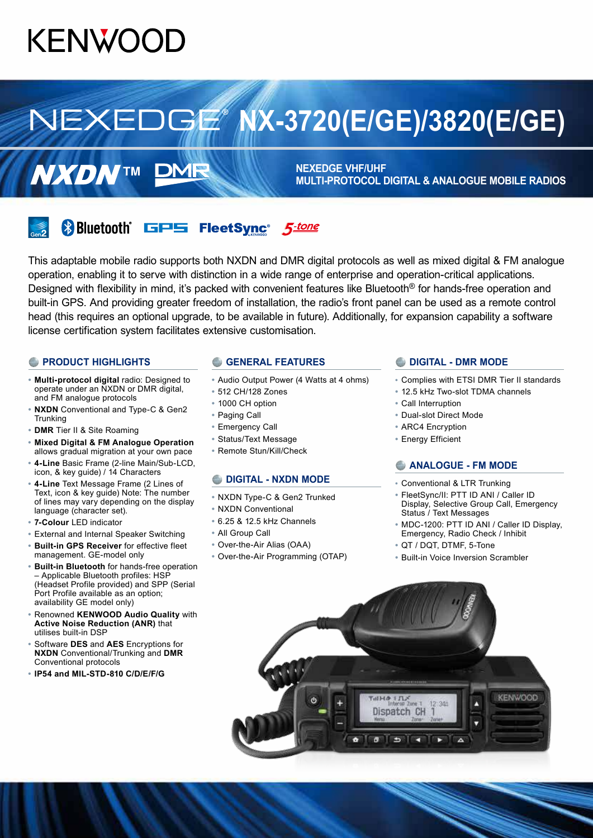# **KENWOOD**

# **NX-3720(E/GE)/3820(E/GE)**

**NEXEDGE VHF/UHF MULTI-PROTOCOL DIGITAL & ANALOGUE MOBILE RADIOS**



**& Bluetooth**® GPS FleetSync<sup>®</sup> 5-tone

DMR

This adaptable mobile radio supports both NXDN and DMR digital protocols as well as mixed digital & FM analogue operation, enabling it to serve with distinction in a wide range of enterprise and operation-critical applications. Designed with flexibility in mind, it's packed with convenient features like Bluetooth<sup>®</sup> for hands-free operation and built-in GPS. And providing greater freedom of installation, the radio's front panel can be used as a remote control head (this requires an optional upgrade, to be available in future). Additionally, for expansion capability a software license certification system facilitates extensive customisation.

#### **PRODUCT HIGHLIGHTS**

**NXDNTM** 

- **• Multi-protocol digital** radio: Designed to operate under an NXDN or DMR digital, and FM analogue protocols
- **• NXDN** Conventional and Type-C & Gen2 **Trunking**
- **• DMR** Tier II & Site Roaming
- **• Mixed Digital & FM Analogue Operation** allows gradual migration at your own pace
- **• 4-Line** Basic Frame (2-line Main/Sub-LCD, icon, & key guide) / 14 Characters
- **• 4-Line** Text Message Frame (2 Lines of Text, icon & key guide) Note: The number of lines may vary depending on the display language (character set).
- **• 7-Colour** LED indicator
- **•** External and Internal Speaker Switching
- **• Built-in GPS Receiver** for effective fleet management. GE-model only
- **• Built-in Bluetooth** for hands-free operation – Applicable Bluetooth profiles: HSP (Headset Profile provided) and SPP (Serial Port Profile available as an option; availability GE model only)
- **•** Renowned **KENWOOD Audio Quality** with **Active Noise Reduction (ANR)** that utilises built-in DSP
- **•** Software **DES** and **AES** Encryptions for **NXDN** Conventional/Trunking and **DMR** Conventional protocols
- **• IP54 and MIL-STD-810 C/D/E/F/G**

#### **C** GENERAL FEATURES

- **•** Audio Output Power (4 Watts at 4 ohms)
- **•** 512 CH/128 Zones
- **•** 1000 CH option
- **•** Paging Call
- **•** Emergency Call
- **•** Status/Text Message
- **•** Remote Stun/Kill/Check

#### **DIGITAL - NXDN MODE**

- **•** NXDN Type-C & Gen2 Trunked
- **•** NXDN Conventional
- **•** 6.25 & 12.5 kHz Channels
- **•** All Group Call
- **•** Over-the-Air Alias (OAA)
- **•** Over-the-Air Programming (OTAP)

#### **DIGITAL - DMR MODE**

- **•** Complies with ETSI DMR Tier II standards
- **•** 12.5 kHz Two-slot TDMA channels
- **•** Call Interruption
- **•** Dual-slot Direct Mode
- **•** ARC4 Encryption
- **•** Energy Efficient

#### **ANALOGUE - FM MODE**

- **•** Conventional & LTR Trunking
- **•** FleetSync/II: PTT ID ANI / Caller ID Display, Selective Group Call, Emergency Status / Text Messages
- **•** MDC-1200: PTT ID ANI / Caller ID Display, Emergency, Radio Check / Inhibit
- **•** QT / DQT, DTMF, 5-Tone
- **•** Built-in Voice Inversion Scrambler